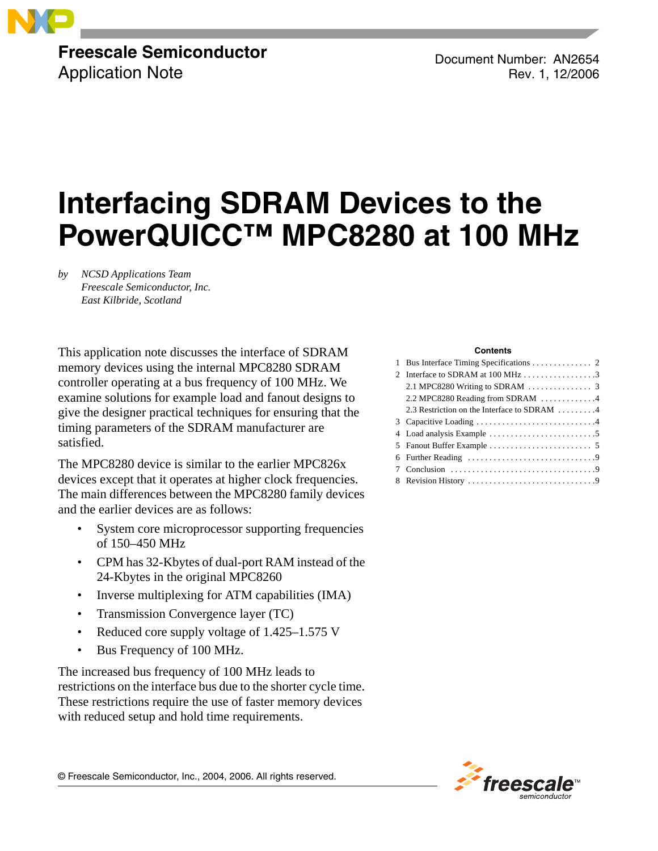

# **Freescale Semiconductor**

Application Note

Document Number: AN2654 Rev. 1, 12/2006

# **Interfacing SDRAM Devices to the PowerQUICC™ MPC8280 at 100 MHz**

*by NCSD Applications Team Freescale Semiconductor, Inc. East Kilbride, Scotland*

This application note discusses the interface of SDRAM memory devices using the internal MPC8280 SDRAM controller operating at a bus frequency of 100 MHz. We examine solutions for example load and fanout designs to give the designer practical techniques for ensuring that the timing parameters of the SDRAM manufacturer are satisfied.

The MPC8280 device is similar to the earlier MPC826x devices except that it operates at higher clock frequencies. The main differences between the MPC8280 family devices and the earlier devices are as follows:

- System core microprocessor supporting frequencies of 150–450 MHz
- CPM has 32-Kbytes of dual-port RAM instead of the 24-Kbytes in the original MPC8260
- Inverse multiplexing for ATM capabilities (IMA)
- Transmission Convergence layer (TC)
- Reduced core supply voltage of 1.425–1.575 V
- Bus Frequency of 100 MHz.

The increased bus frequency of 100 MHz leads to restrictions on the interface bus due to the shorter cycle time. These restrictions require the use of faster memory devices with reduced setup and hold time requirements.

© Freescale Semiconductor, Inc., 2004, 2006. All rights reserved.

#### **Contents**

| 2 Interface to SDRAM at 100 MHz3            |
|---------------------------------------------|
|                                             |
| 2.2 MPC8280 Reading from SDRAM 4            |
| 2.3 Restriction on the Interface to SDRAM 4 |
|                                             |
|                                             |
|                                             |
|                                             |
|                                             |
|                                             |
|                                             |

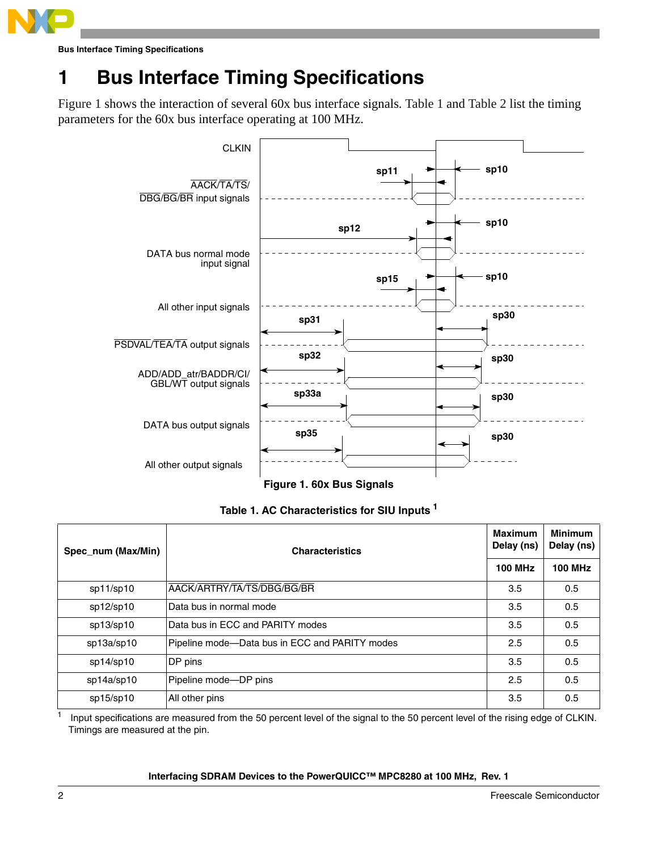

**Bus Interface Timing Specifications**

### **1 Bus Interface Timing Specifications**

[Figure 1](#page-1-0) shows the interaction of several 60x bus interface signals. [Table 1](#page-1-1) and [Table 2](#page-2-0) list the timing parameters for the 60x bus interface operating at 100 MHz.



**Table 1. AC Characteristics for SIU Inputs<sup>1</sup>**

<span id="page-1-1"></span><span id="page-1-0"></span>

| Spec_num (Max/Min) | <b>Characteristics</b>                         | <b>Maximum</b><br>Delay (ns) | <b>Minimum</b><br>Delay (ns) |
|--------------------|------------------------------------------------|------------------------------|------------------------------|
|                    |                                                | <b>100 MHz</b>               | <b>100 MHz</b>               |
| sp11/sp10          | AACK/ARTRY/TA/TS/DBG/BG/BR                     | 3.5                          | 0.5                          |
| sp12/sp10          | Data bus in normal mode                        | 3.5                          | 0.5                          |
| sp13/sp10          | Data bus in ECC and PARITY modes               | 3.5                          | 0.5                          |
| sp13a/sp10         | Pipeline mode-Data bus in ECC and PARITY modes | 2.5                          | 0.5                          |
| sp14/sp10          | DP pins                                        | 3.5                          | 0.5                          |
| sp14a/sp10         | Pipeline mode-DP pins                          | 2.5                          | 0.5                          |
| sp15/sp10          | All other pins                                 | 3.5                          | 0.5                          |

<sup>1</sup> Input specifications are measured from the 50 percent level of the signal to the 50 percent level of the rising edge of CLKIN. Timings are measured at the pin.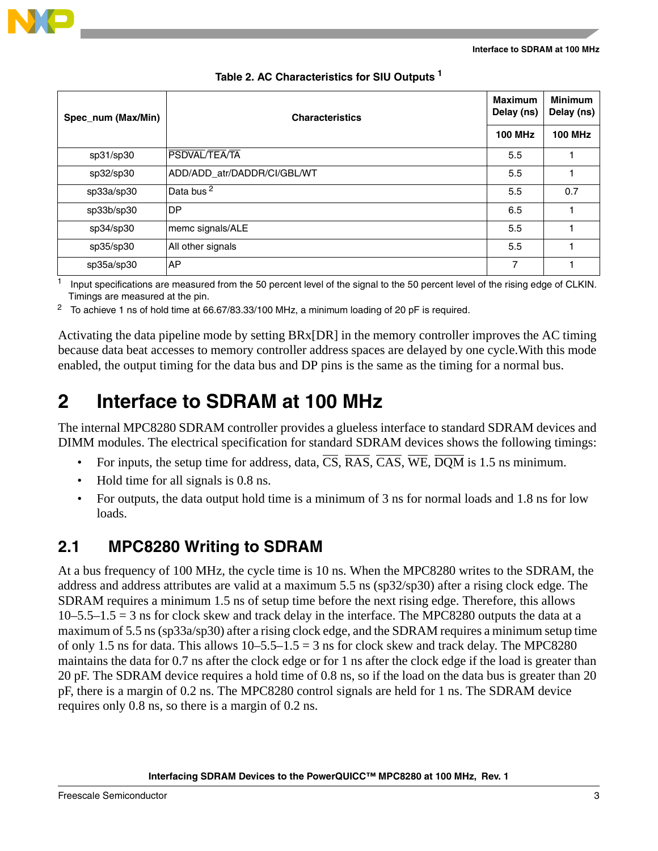



<span id="page-2-0"></span>

| Spec_num (Max/Min) | <b>Characteristics</b>      |                | <b>Minimum</b><br>Delay (ns) |
|--------------------|-----------------------------|----------------|------------------------------|
|                    |                             | <b>100 MHz</b> | <b>100 MHz</b>               |
| sp31/sp30          | <b>PSDVAL/TEA/TA</b>        | 5.5            |                              |
| sp32/sp30          | ADD/ADD_atr/DADDR/CI/GBL/WT | 5.5            |                              |
| sp33a/sp30         | Data bus <sup>2</sup>       | 5.5            | 0.7                          |
| sp33b/sp30         | <b>DP</b>                   | 6.5            |                              |
| sp34/sp30          | memc signals/ALE            | 5.5            |                              |
| sp35/sp30          | All other signals           | 5.5            |                              |
| sp35a/sp30         | AP                          | 7              |                              |

#### **Table 2. AC Characteristics for SIU Outputs<sup>1</sup>**

Input specifications are measured from the 50 percent level of the signal to the 50 percent level of the rising edge of CLKIN. Timings are measured at the pin.

 $2\degree$  To achieve 1 ns of hold time at 66.67/83.33/100 MHz, a minimum loading of 20 pF is required.

Activating the data pipeline mode by setting BRx[DR] in the memory controller improves the AC timing because data beat accesses to memory controller address spaces are delayed by one cycle.With this mode enabled, the output timing for the data bus and DP pins is the same as the timing for a normal bus.

## **2 Interface to SDRAM at 100 MHz**

The internal MPC8280 SDRAM controller provides a glueless interface to standard SDRAM devices and DIMM modules. The electrical specification for standard SDRAM devices shows the following timings:

- For inputs, the setup time for address, data,  $\overline{CS}$ ,  $\overline{RAS}$ ,  $\overline{CAS}$ ,  $\overline{W}$ ,  $\overline{DQM}$  is 1.5 ns minimum.
- Hold time for all signals is 0.8 ns.
- For outputs, the data output hold time is a minimum of 3 ns for normal loads and 1.8 ns for low loads.

### **2.1 MPC8280 Writing to SDRAM**

At a bus frequency of 100 MHz, the cycle time is 10 ns. When the MPC8280 writes to the SDRAM, the address and address attributes are valid at a maximum 5.5 ns (sp32/sp30) after a rising clock edge. The SDRAM requires a minimum 1.5 ns of setup time before the next rising edge. Therefore, this allows 10–5.5–1.5 = 3 ns for clock skew and track delay in the interface. The MPC8280 outputs the data at a maximum of 5.5 ns (sp33a/sp30) after a rising clock edge, and the SDRAM requires a minimum setup time of only 1.5 ns for data. This allows  $10-5.5-1.5 = 3$  ns for clock skew and track delay. The MPC8280 maintains the data for 0.7 ns after the clock edge or for 1 ns after the clock edge if the load is greater than 20 pF. The SDRAM device requires a hold time of 0.8 ns, so if the load on the data bus is greater than 20 pF, there is a margin of 0.2 ns. The MPC8280 control signals are held for 1 ns. The SDRAM device requires only 0.8 ns, so there is a margin of 0.2 ns.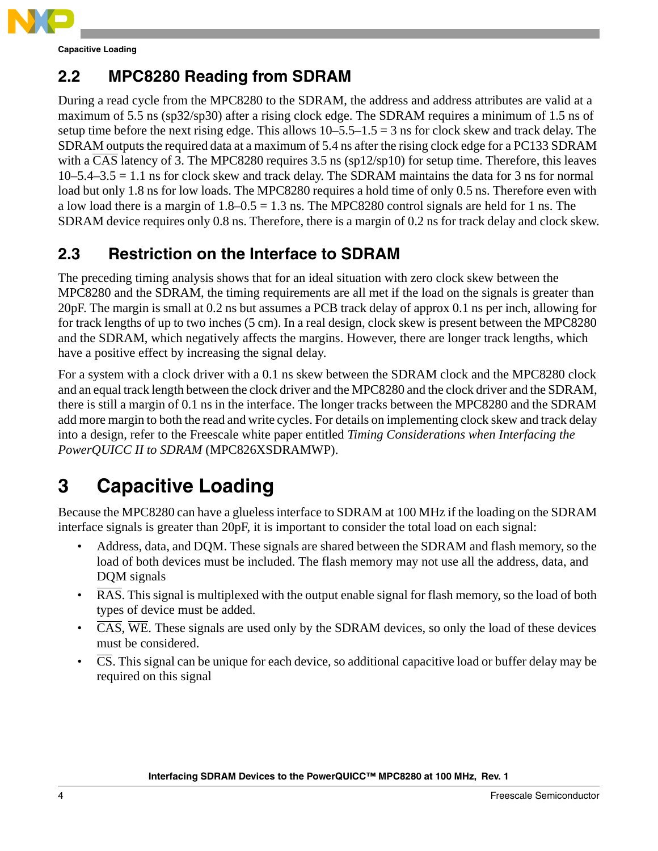

**Capacitive Loading**

### **2.2 MPC8280 Reading from SDRAM**

During a read cycle from the MPC8280 to the SDRAM, the address and address attributes are valid at a maximum of 5.5 ns (sp32/sp30) after a rising clock edge. The SDRAM requires a minimum of 1.5 ns of setup time before the next rising edge. This allows  $10-5.5-1.5 = 3$  ns for clock skew and track delay. The SDRAM outputs the required data at a maximum of 5.4 ns after the rising clock edge for a PC133 SDRAM with a CAS latency of 3. The MPC8280 requires 3.5 ns (sp12/sp10) for setup time. Therefore, this leaves 10–5.4–3.5 = 1.1 ns for clock skew and track delay. The SDRAM maintains the data for 3 ns for normal load but only 1.8 ns for low loads. The MPC8280 requires a hold time of only 0.5 ns. Therefore even with a low load there is a margin of 1.8–0.5 = 1.3 ns. The MPC8280 control signals are held for 1 ns. The SDRAM device requires only 0.8 ns. Therefore, there is a margin of 0.2 ns for track delay and clock skew.

### **2.3 Restriction on the Interface to SDRAM**

The preceding timing analysis shows that for an ideal situation with zero clock skew between the MPC8280 and the SDRAM, the timing requirements are all met if the load on the signals is greater than 20pF. The margin is small at 0.2 ns but assumes a PCB track delay of approx 0.1 ns per inch, allowing for for track lengths of up to two inches (5 cm). In a real design, clock skew is present between the MPC8280 and the SDRAM, which negatively affects the margins. However, there are longer track lengths, which have a positive effect by increasing the signal delay.

For a system with a clock driver with a 0.1 ns skew between the SDRAM clock and the MPC8280 clock and an equal track length between the clock driver and the MPC8280 and the clock driver and the SDRAM, there is still a margin of 0.1 ns in the interface. The longer tracks between the MPC8280 and the SDRAM add more margin to both the read and write cycles. For details on implementing clock skew and track delay into a design, refer to the Freescale white paper entitled *Timing Considerations when Interfacing the PowerQUICC II to SDRAM* (MPC826XSDRAMWP).

## **3 Capacitive Loading**

Because the MPC8280 can have a glueless interface to SDRAM at 100 MHz if the loading on the SDRAM interface signals is greater than 20pF, it is important to consider the total load on each signal:

- Address, data, and DQM. These signals are shared between the SDRAM and flash memory, so the load of both devices must be included. The flash memory may not use all the address, data, and DQM signals
- $\overline{RAS}$ . This signal is multiplexed with the output enable signal for flash memory, so the load of both types of device must be added.
- CAS, WE. These signals are used only by the SDRAM devices, so only the load of these devices must be considered.
- CS. This signal can be unique for each device, so additional capacitive load or buffer delay may be required on this signal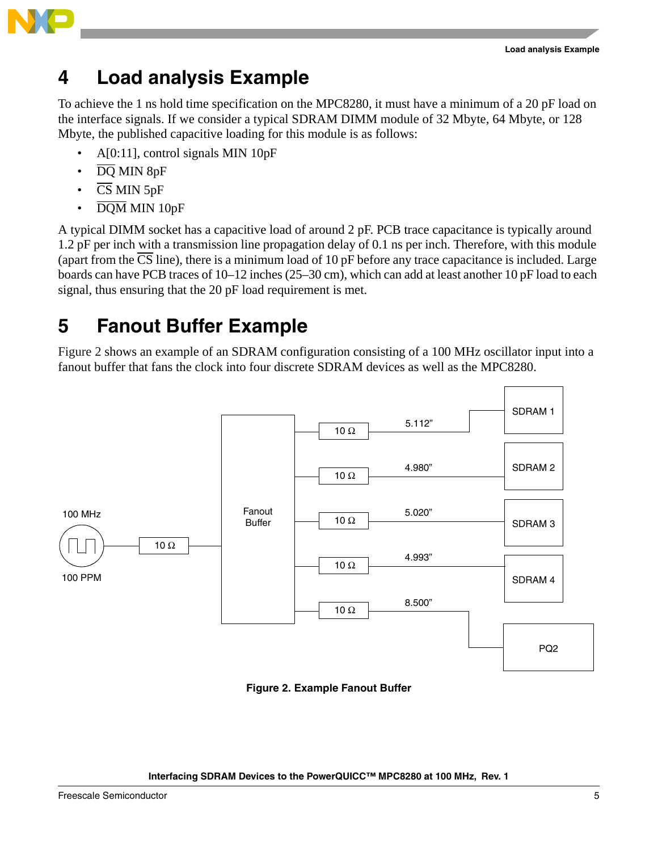### **4 Load analysis Example**

To achieve the 1 ns hold time specification on the MPC8280, it must have a minimum of a 20 pF load on the interface signals. If we consider a typical SDRAM DIMM module of 32 Mbyte, 64 Mbyte, or 128 Mbyte, the published capacitive loading for this module is as follows:

- A[0:11], control signals MIN 10pF
- DQ MIN 8pF
- $\cdot$  CS MIN 5pF
- DQM MIN 10pF

A typical DIMM socket has a capacitive load of around 2 pF. PCB trace capacitance is typically around 1.2 pF per inch with a transmission line propagation delay of 0.1 ns per inch. Therefore, with this module (apart from the  $\overline{CS}$  line), there is a minimum load of 10 pF before any trace capacitance is included. Large boards can have PCB traces of 10–12 inches (25–30 cm), which can add at least another 10 pF load to each signal, thus ensuring that the 20 pF load requirement is met.

### **5 Fanout Buffer Example**

[Figure 2](#page-4-0) shows an example of an SDRAM configuration consisting of a 100 MHz oscillator input into a fanout buffer that fans the clock into four discrete SDRAM devices as well as the MPC8280.



<span id="page-4-0"></span>**Figure 2. Example Fanout Buffer**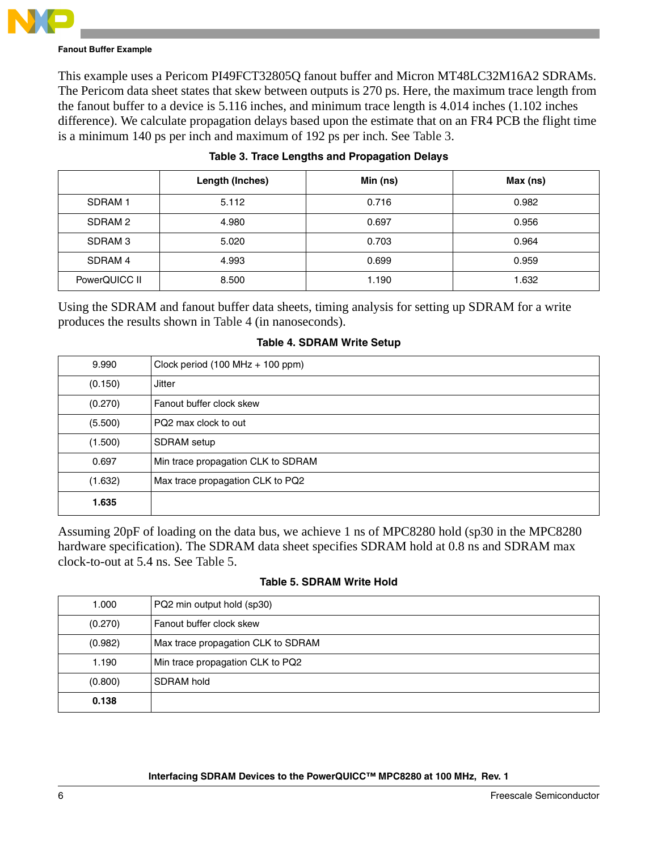

#### **Fanout Buffer Example**

This example uses a Pericom PI49FCT32805Q fanout buffer and Micron MT48LC32M16A2 SDRAMs. The Pericom data sheet states that skew between outputs is 270 ps. Here, the maximum trace length from the fanout buffer to a device is 5.116 inches, and minimum trace length is 4.014 inches (1.102 inches difference). We calculate propagation delays based upon the estimate that on an FR4 PCB the flight time is a minimum 140 ps per inch and maximum of 192 ps per inch. See [Table 3.](#page-5-1)

<span id="page-5-1"></span>

|                    | Length (Inches) | Min (ns) | Max (ns) |
|--------------------|-----------------|----------|----------|
| SDRAM <sub>1</sub> | 5.112           | 0.716    | 0.982    |
| SDRAM 2            | 4.980           | 0.697    | 0.956    |
| SDRAM <sub>3</sub> | 5.020           | 0.703    | 0.964    |
| SDRAM 4            | 4.993           | 0.699    | 0.959    |
| PowerQUICC II      | 8.500           | 1.190    | 1.632    |

#### **Table 3. Trace Lengths and Propagation Delays**

Using the SDRAM and fanout buffer data sheets, timing analysis for setting up SDRAM for a write produces the results shown in [Table 4](#page-5-0) (in nanoseconds).

<span id="page-5-0"></span>

| 9.990   | Clock period $(100 \text{ MHz} + 100 \text{ ppm})$ |
|---------|----------------------------------------------------|
| (0.150) | Jitter                                             |
| (0.270) | Fanout buffer clock skew                           |
| (5.500) | PQ2 max clock to out                               |
| (1.500) | SDRAM setup                                        |
| 0.697   | Min trace propagation CLK to SDRAM                 |
| (1.632) | Max trace propagation CLK to PQ2                   |
| 1.635   |                                                    |

#### **Table 4. SDRAM Write Setup**

Assuming 20pF of loading on the data bus, we achieve 1 ns of MPC8280 hold (sp30 in the MPC8280 hardware specification). The SDRAM data sheet specifies SDRAM hold at 0.8 ns and SDRAM max clock-to-out at 5.4 ns. See [Table 5.](#page-5-2)

#### **Table 5. SDRAM Write Hold**

<span id="page-5-2"></span>

| 1.000   | PQ2 min output hold (sp30)         |
|---------|------------------------------------|
| (0.270) | Fanout buffer clock skew           |
| (0.982) | Max trace propagation CLK to SDRAM |
| 1.190   | Min trace propagation CLK to PQ2   |
| (0.800) | <b>SDRAM</b> hold                  |
| 0.138   |                                    |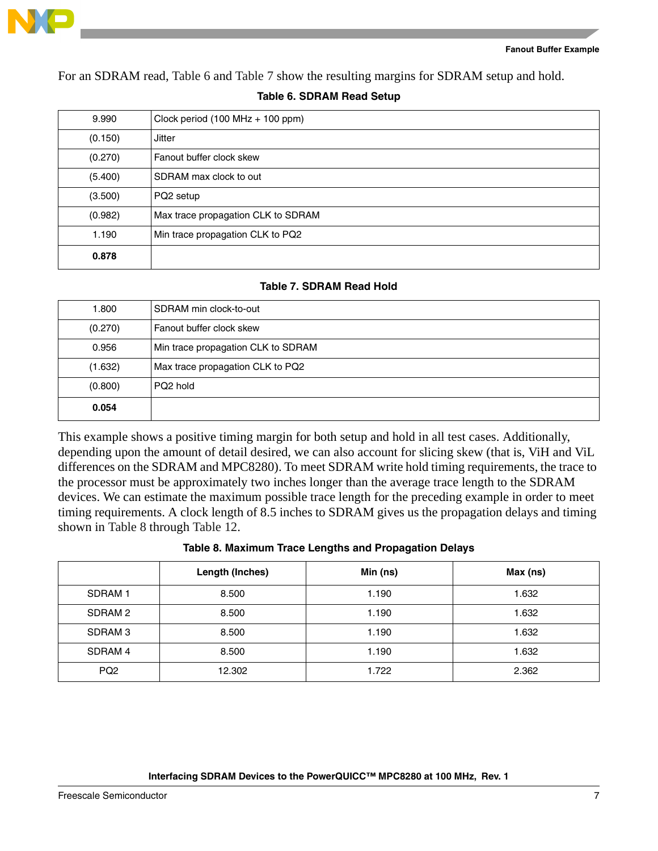

<span id="page-6-0"></span>For an SDRAM read, [Table 6](#page-6-0) and [Table 7](#page-6-1) show the resulting margins for SDRAM setup and hold.

#### **Table 6. SDRAM Read Setup**

| 9.990   | Clock period $(100 \text{ MHz} + 100 \text{ ppm})$ |
|---------|----------------------------------------------------|
| (0.150) | Jitter                                             |
| (0.270) | Fanout buffer clock skew                           |
| (5.400) | SDRAM max clock to out                             |
| (3.500) | PQ2 setup                                          |
| (0.982) | Max trace propagation CLK to SDRAM                 |
| 1.190   | Min trace propagation CLK to PQ2                   |
| 0.878   |                                                    |

#### **Table 7. SDRAM Read Hold**

<span id="page-6-1"></span>

| 1.800   | SDRAM min clock-to-out             |
|---------|------------------------------------|
| (0.270) | Fanout buffer clock skew           |
| 0.956   | Min trace propagation CLK to SDRAM |
| (1.632) | Max trace propagation CLK to PQ2   |
| (0.800) | PQ2 hold                           |
| 0.054   |                                    |

This example shows a positive timing margin for both setup and hold in all test cases. Additionally, depending upon the amount of detail desired, we can also account for slicing skew (that is, ViH and ViL differences on the SDRAM and MPC8280). To meet SDRAM write hold timing requirements, the trace to the processor must be approximately two inches longer than the average trace length to the SDRAM devices. We can estimate the maximum possible trace length for the preceding example in order to meet timing requirements. A clock length of 8.5 inches to SDRAM gives us the propagation delays and timing shown in [Table 8](#page-6-2) through [Table 12.](#page-7-0)

#### **Table 8. Maximum Trace Lengths and Propagation Delays**

<span id="page-6-2"></span>

|                    | Length (Inches) | Min (ns) | Max (ns) |
|--------------------|-----------------|----------|----------|
| SDRAM <sub>1</sub> | 8.500           | 1.190    | 1.632    |
| SDRAM 2            | 8.500           | 1.190    | 1.632    |
| SDRAM <sub>3</sub> | 8.500           | 1.190    | 1.632    |
| SDRAM 4            | 8.500           | 1.190    | 1.632    |
| PQ <sub>2</sub>    | 12.302          | 1.722    | 2.362    |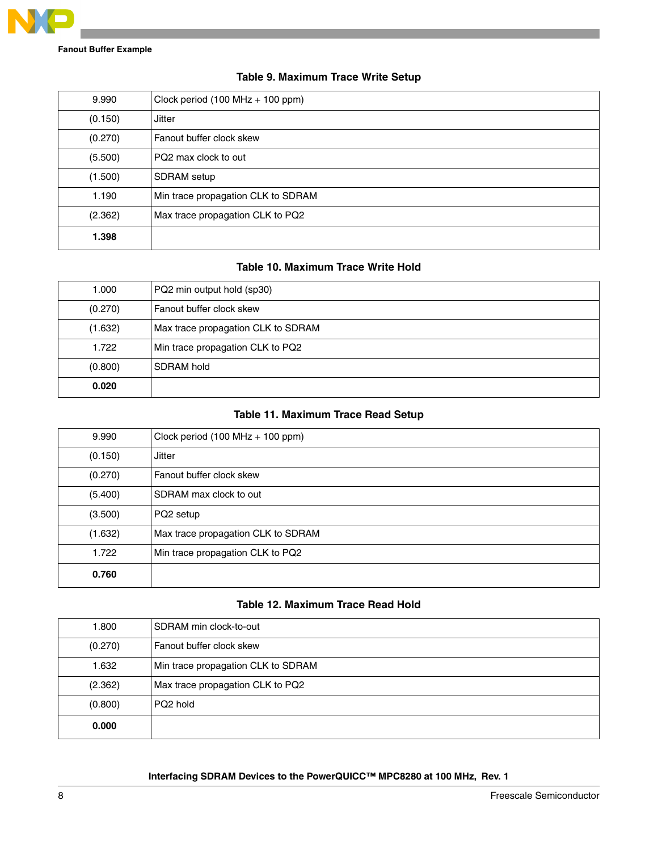

**Fanout Buffer Example**

#### **Table 9. Maximum Trace Write Setup**

| 9.990   | Clock period $(100 \text{ MHz} + 100 \text{ ppm})$ |
|---------|----------------------------------------------------|
| (0.150) | Jitter                                             |
| (0.270) | Fanout buffer clock skew                           |
| (5.500) | PQ2 max clock to out                               |
| (1.500) | <b>SDRAM</b> setup                                 |
| 1.190   | Min trace propagation CLK to SDRAM                 |
| (2.362) | Max trace propagation CLK to PQ2                   |
| 1.398   |                                                    |

#### **Table 10. Maximum Trace Write Hold**

| 1.000   | PQ2 min output hold (sp30)         |
|---------|------------------------------------|
| (0.270) | Fanout buffer clock skew           |
| (1.632) | Max trace propagation CLK to SDRAM |
| 1.722   | Min trace propagation CLK to PQ2   |
| (0.800) | SDRAM hold                         |
| 0.020   |                                    |

#### **Table 11. Maximum Trace Read Setup**

| 9.990   | Clock period $(100 MHz + 100 ppm)$ |
|---------|------------------------------------|
| (0.150) | Jitter                             |
| (0.270) | Fanout buffer clock skew           |
| (5.400) | SDRAM max clock to out             |
| (3.500) | PQ2 setup                          |
| (1.632) | Max trace propagation CLK to SDRAM |
| 1.722   | Min trace propagation CLK to PQ2   |
| 0.760   |                                    |

#### **Table 12. Maximum Trace Read Hold**

<span id="page-7-0"></span>

| 1.800   | SDRAM min clock-to-out             |  |  |
|---------|------------------------------------|--|--|
| (0.270) | Fanout buffer clock skew           |  |  |
| 1.632   | Min trace propagation CLK to SDRAM |  |  |
| (2.362) | Max trace propagation CLK to PQ2   |  |  |
| (0.800) | PQ2 hold                           |  |  |
| 0.000   |                                    |  |  |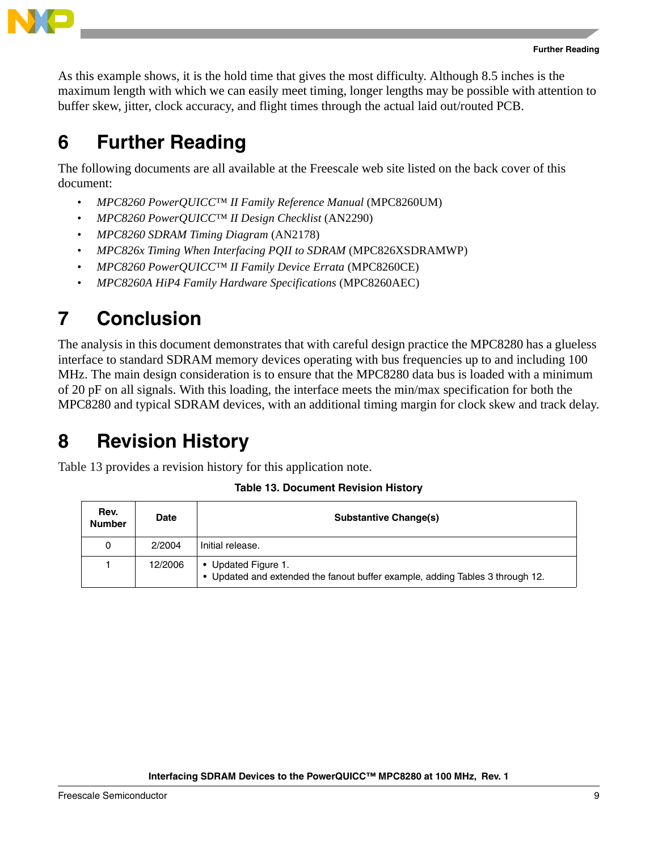



As this example shows, it is the hold time that gives the most difficulty. Although 8.5 inches is the maximum length with which we can easily meet timing, longer lengths may be possible with attention to buffer skew, jitter, clock accuracy, and flight times through the actual laid out/routed PCB.

## **6 Further Reading**

The following documents are all available at the Freescale web site listed on the back cover of this document:

- *MPC8260 PowerQUICC™ II Family Reference Manual* (MPC8260UM)
- *MPC8260 PowerQUICC™ II Design Checklist* (AN2290)
- *MPC8260 SDRAM Timing Diagram* (AN2178)
- *MPC826x Timing When Interfacing PQII to SDRAM* (MPC826XSDRAMWP)
- *MPC8260 PowerQUICC™ II Family Device Errata* (MPC8260CE)
- *MPC8260A HiP4 Family Hardware Specifications* (MPC8260AEC)

## **7 Conclusion**

The analysis in this document demonstrates that with careful design practice the MPC8280 has a glueless interface to standard SDRAM memory devices operating with bus frequencies up to and including 100 MHz. The main design consideration is to ensure that the MPC8280 data bus is loaded with a minimum of 20 pF on all signals. With this loading, the interface meets the min/max specification for both the MPC8280 and typical SDRAM devices, with an additional timing margin for clock skew and track delay.

## **8 Revision History**

<span id="page-8-0"></span>[Table 13](#page-8-0) provides a revision history for this application note.

| Rev.<br><b>Number</b> | <b>Date</b> | <b>Substantive Change(s)</b>                                                                         |
|-----------------------|-------------|------------------------------------------------------------------------------------------------------|
| 0                     | 2/2004      | Initial release.                                                                                     |
|                       | 12/2006     | • Updated Figure 1.<br>. Updated and extended the fanout buffer example, adding Tables 3 through 12. |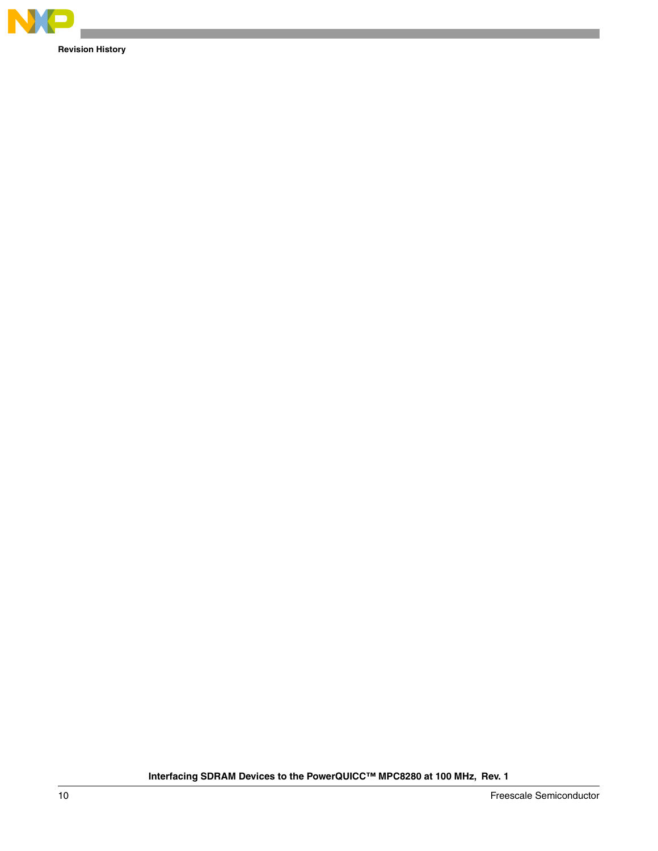

**Revision History**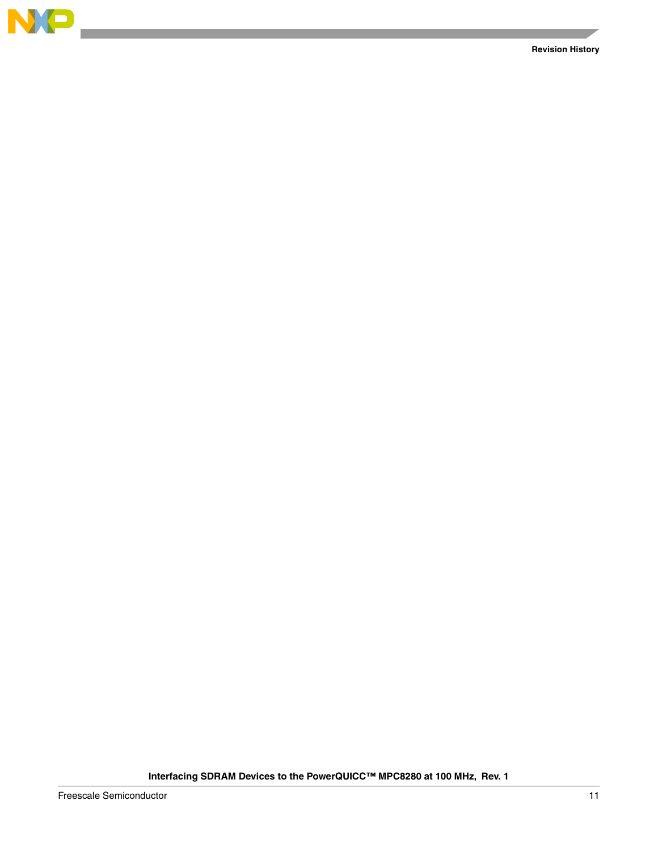

**Revision History**